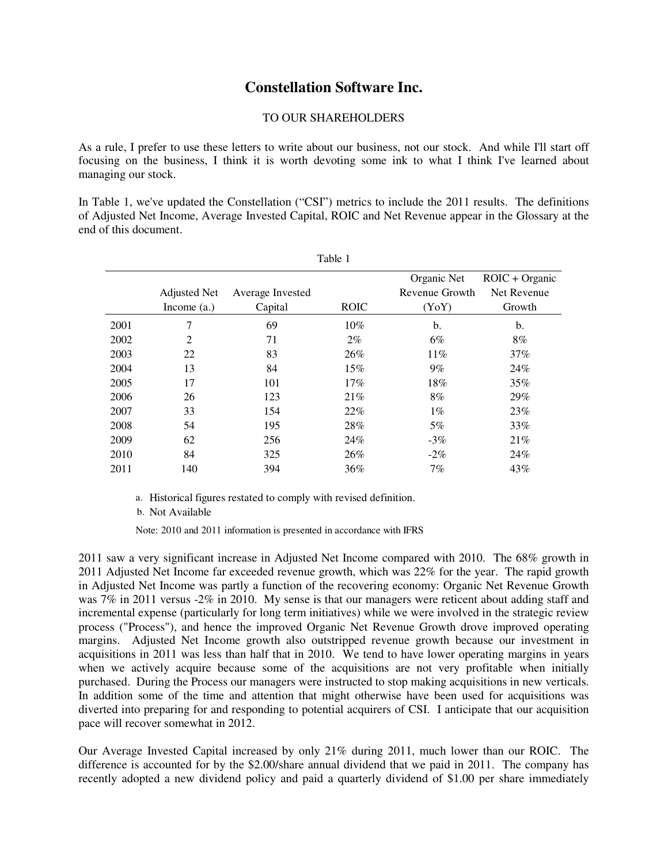# **Constellation Software Inc.**

## TO OUR SHAREHOLDERS

As a rule, I prefer to use these letters to write about our business, not our stock. And while I'll start off focusing on the business, I think it is worth devoting some ink to what I think I've learned about managing our stock.

In Table 1, we've updated the Constellation ("CSI") metrics to include the 2011 results. The definitions of Adjusted Net Income, Average Invested Capital, ROIC and Net Revenue appear in the Glossary at the end of this document.

|      | <b>Adjusted Net</b><br>Income $(a.)$ | Average Invested<br>Capital | <b>ROIC</b> | Organic Net<br>Revenue Growth<br>(YoY) | $ROIC + Organic$<br>Net Revenue<br>Growth |
|------|--------------------------------------|-----------------------------|-------------|----------------------------------------|-------------------------------------------|
| 2001 | 7                                    | 69                          | 10%         | b.                                     | b.                                        |
| 2002 | 2                                    | 71                          | $2\%$       | 6%                                     | $8\%$                                     |
| 2003 | 22                                   | 83                          | 26%         | $11\%$                                 | $37\%$                                    |
| 2004 | 13                                   | 84                          | $15\%$      | $9\%$                                  | 24%                                       |
| 2005 | 17                                   | 101                         | 17%         | 18%                                    | 35%                                       |
| 2006 | 26                                   | 123                         | 21%         | $8\%$                                  | 29%                                       |
| 2007 | 33                                   | 154                         | 22%         | $1\%$                                  | 23%                                       |
| 2008 | 54                                   | 195                         | 28%         | 5%                                     | 33%                                       |
| 2009 | 62                                   | 256                         | 24%         | $-3\%$                                 | 21%                                       |
| 2010 | 84                                   | 325                         | 26%         | $-2\%$                                 | 24%                                       |
| 2011 | 140                                  | 394                         | 36%         | 7%                                     | 43%                                       |

Table 1

a. Historical figures restated to comply with revised definition.

b. Not Available

Note: 2010 and 2011 information is presented in accordance with IFRS

2011 saw a very significant increase in Adjusted Net Income compared with 2010. The 68% growth in 2011 Adjusted Net Income far exceeded revenue growth, which was 22% for the year. The rapid growth in Adjusted Net Income was partly a function of the recovering economy: Organic Net Revenue Growth was 7% in 2011 versus -2% in 2010. My sense is that our managers were reticent about adding staff and incremental expense (particularly for long term initiatives) while we were involved in the strategic review process ("Process"), and hence the improved Organic Net Revenue Growth drove improved operating margins. Adjusted Net Income growth also outstripped revenue growth because our investment in acquisitions in 2011 was less than half that in 2010. We tend to have lower operating margins in years when we actively acquire because some of the acquisitions are not very profitable when initially purchased. During the Process our managers were instructed to stop making acquisitions in new verticals. In addition some of the time and attention that might otherwise have been used for acquisitions was diverted into preparing for and responding to potential acquirers of CSI. I anticipate that our acquisition pace will recover somewhat in 2012.

Our Average Invested Capital increased by only 21% during 2011, much lower than our ROIC. The difference is accounted for by the \$2.00/share annual dividend that we paid in 2011. The company has recently adopted a new dividend policy and paid a quarterly dividend of \$1.00 per share immediately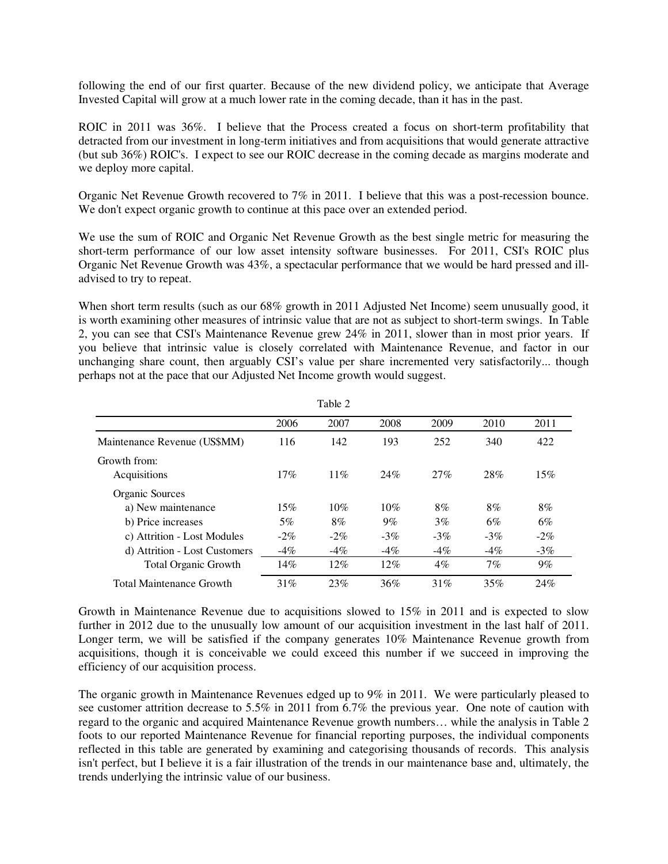following the end of our first quarter. Because of the new dividend policy, we anticipate that Average Invested Capital will grow at a much lower rate in the coming decade, than it has in the past.

ROIC in 2011 was 36%. I believe that the Process created a focus on short-term profitability that detracted from our investment in long-term initiatives and from acquisitions that would generate attractive (but sub 36%) ROIC's. I expect to see our ROIC decrease in the coming decade as margins moderate and we deploy more capital.

Organic Net Revenue Growth recovered to 7% in 2011. I believe that this was a post-recession bounce. We don't expect organic growth to continue at this pace over an extended period.

We use the sum of ROIC and Organic Net Revenue Growth as the best single metric for measuring the short-term performance of our low asset intensity software businesses. For 2011, CSI's ROIC plus Organic Net Revenue Growth was 43%, a spectacular performance that we would be hard pressed and illadvised to try to repeat.

When short term results (such as our 68% growth in 2011 Adjusted Net Income) seem unusually good, it is worth examining other measures of intrinsic value that are not as subject to short-term swings. In Table 2, you can see that CSI's Maintenance Revenue grew 24% in 2011, slower than in most prior years. If you believe that intrinsic value is closely correlated with Maintenance Revenue, and factor in our unchanging share count, then arguably CSI's value per share incremented very satisfactorily... though perhaps not at the pace that our Adjusted Net Income growth would suggest.

|                                 |        | rabie z |        |        |        |        |
|---------------------------------|--------|---------|--------|--------|--------|--------|
|                                 | 2006   | 2007    | 2008   | 2009   | 2010   | 2011   |
| Maintenance Revenue (US\$MM)    | 116    | 142     | 193    | 252    | 340    | 422    |
| Growth from:                    |        |         |        |        |        |        |
| Acquisitions                    | 17%    | 11%     | 24%    | 27%    | 28%    | 15%    |
| Organic Sources                 |        |         |        |        |        |        |
| a) New maintenance              | 15%    | 10%     | 10%    | 8%     | 8%     | $8\%$  |
| b) Price increases              | $5\%$  | $8\%$   | $9\%$  | $3\%$  | 6%     | $6\%$  |
| c) Attrition - Lost Modules     | $-2\%$ | $-2\%$  | $-3\%$ | $-3\%$ | $-3\%$ | $-2\%$ |
| d) Attrition - Lost Customers   | $-4%$  | $-4\%$  | $-4\%$ | $-4\%$ | $-4\%$ | $-3\%$ |
| <b>Total Organic Growth</b>     | 14%    | 12%     | 12%    | $4\%$  | 7%     | $9\%$  |
| <b>Total Maintenance Growth</b> | 31%    | 23%     | 36%    | 31%    | 35%    | 24%    |

 $T_{21}$   $T_{22}$   $T_{23}$ 

Growth in Maintenance Revenue due to acquisitions slowed to 15% in 2011 and is expected to slow further in 2012 due to the unusually low amount of our acquisition investment in the last half of 2011. Longer term, we will be satisfied if the company generates 10% Maintenance Revenue growth from acquisitions, though it is conceivable we could exceed this number if we succeed in improving the efficiency of our acquisition process.

The organic growth in Maintenance Revenues edged up to 9% in 2011. We were particularly pleased to see customer attrition decrease to 5.5% in 2011 from 6.7% the previous year. One note of caution with regard to the organic and acquired Maintenance Revenue growth numbers… while the analysis in Table 2 foots to our reported Maintenance Revenue for financial reporting purposes, the individual components reflected in this table are generated by examining and categorising thousands of records. This analysis isn't perfect, but I believe it is a fair illustration of the trends in our maintenance base and, ultimately, the trends underlying the intrinsic value of our business.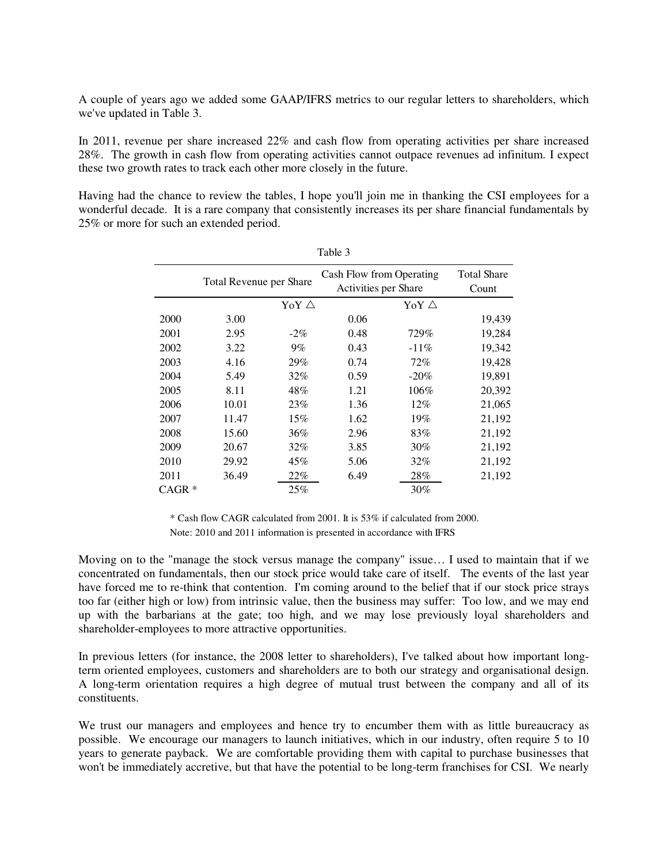A couple of years ago we added some GAAP/IFRS metrics to our regular letters to shareholders, which we've updated in Table 3.

In 2011, revenue per share increased 22% and cash flow from operating activities per share increased 28%. The growth in cash flow from operating activities cannot outpace revenues ad infinitum. I expect these two growth rates to track each other more closely in the future.

Having had the chance to review the tables, I hope you'll join me in thanking the CSI employees for a wonderful decade. It is a rare company that consistently increases its per share financial fundamentals by 25% or more for such an extended period.

|                   | Total Revenue per Share |        | Cash Flow from Operating<br>Activities per Share | <b>Total Share</b><br>Count |        |
|-------------------|-------------------------|--------|--------------------------------------------------|-----------------------------|--------|
|                   | YoY $\triangle$         |        |                                                  |                             |        |
| 2000              | 3.00                    |        | 0.06                                             |                             | 19,439 |
| 2001              | 2.95                    | $-2\%$ | 0.48                                             | 729%                        | 19,284 |
| 2002              | 3.22                    | $9\%$  | 0.43                                             | $-11\%$                     | 19,342 |
| 2003              | 4.16                    | 29%    | 0.74                                             | 72%                         | 19,428 |
| 2004              | 5.49                    | 32%    | 0.59                                             | $-20\%$                     | 19,891 |
| 2005              | 8.11                    | 48%    | 1.21                                             | 106%                        | 20,392 |
| 2006              | 10.01                   | 23%    | 1.36                                             | $12\%$                      | 21,065 |
| 2007              | 11.47                   | 15%    | 1.62                                             | 19%                         | 21,192 |
| 2008              | 15.60                   | 36%    | 2.96                                             | 83%                         | 21,192 |
| 2009              | 20.67                   | 32%    | 3.85                                             | $30\%$                      | 21,192 |
| 2010              | 29.92                   | 45%    | 5.06                                             | 32%                         | 21,192 |
| 2011              | 36.49                   | 22%    | 6.49                                             | 28%                         | 21,192 |
| CAGR <sup>*</sup> |                         | 25%    |                                                  | 30%                         |        |

Table 3

 \* Cash flow CAGR calculated from 2001. It is 53% if calculated from 2000. Note: 2010 and 2011 information is presented in accordance with IFRS

Moving on to the "manage the stock versus manage the company" issue… I used to maintain that if we concentrated on fundamentals, then our stock price would take care of itself. The events of the last year have forced me to re-think that contention. I'm coming around to the belief that if our stock price strays too far (either high or low) from intrinsic value, then the business may suffer: Too low, and we may end up with the barbarians at the gate; too high, and we may lose previously loyal shareholders and shareholder-employees to more attractive opportunities.

In previous letters (for instance, the 2008 letter to shareholders), I've talked about how important longterm oriented employees, customers and shareholders are to both our strategy and organisational design. A long-term orientation requires a high degree of mutual trust between the company and all of its constituents.

We trust our managers and employees and hence try to encumber them with as little bureaucracy as possible. We encourage our managers to launch initiatives, which in our industry, often require 5 to 10 years to generate payback. We are comfortable providing them with capital to purchase businesses that won't be immediately accretive, but that have the potential to be long-term franchises for CSI. We nearly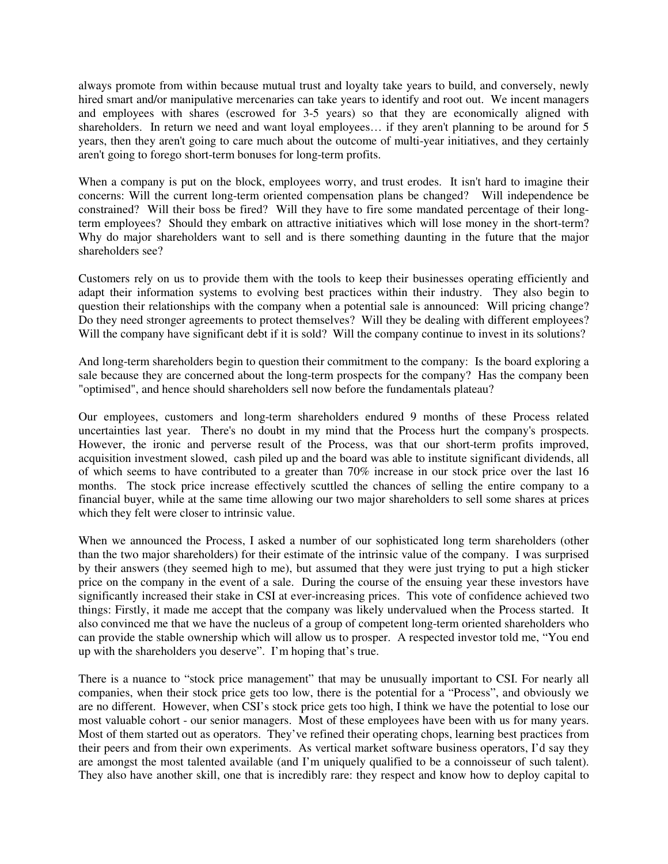always promote from within because mutual trust and loyalty take years to build, and conversely, newly hired smart and/or manipulative mercenaries can take years to identify and root out. We incent managers and employees with shares (escrowed for 3-5 years) so that they are economically aligned with shareholders. In return we need and want loyal employees... if they aren't planning to be around for 5 years, then they aren't going to care much about the outcome of multi-year initiatives, and they certainly aren't going to forego short-term bonuses for long-term profits.

When a company is put on the block, employees worry, and trust erodes. It isn't hard to imagine their concerns: Will the current long-term oriented compensation plans be changed? Will independence be constrained? Will their boss be fired? Will they have to fire some mandated percentage of their longterm employees? Should they embark on attractive initiatives which will lose money in the short-term? Why do major shareholders want to sell and is there something daunting in the future that the major shareholders see?

Customers rely on us to provide them with the tools to keep their businesses operating efficiently and adapt their information systems to evolving best practices within their industry. They also begin to question their relationships with the company when a potential sale is announced: Will pricing change? Do they need stronger agreements to protect themselves? Will they be dealing with different employees? Will the company have significant debt if it is sold? Will the company continue to invest in its solutions?

And long-term shareholders begin to question their commitment to the company: Is the board exploring a sale because they are concerned about the long-term prospects for the company? Has the company been "optimised", and hence should shareholders sell now before the fundamentals plateau?

Our employees, customers and long-term shareholders endured 9 months of these Process related uncertainties last year. There's no doubt in my mind that the Process hurt the company's prospects. However, the ironic and perverse result of the Process, was that our short-term profits improved, acquisition investment slowed, cash piled up and the board was able to institute significant dividends, all of which seems to have contributed to a greater than 70% increase in our stock price over the last 16 months. The stock price increase effectively scuttled the chances of selling the entire company to a financial buyer, while at the same time allowing our two major shareholders to sell some shares at prices which they felt were closer to intrinsic value.

When we announced the Process, I asked a number of our sophisticated long term shareholders (other than the two major shareholders) for their estimate of the intrinsic value of the company. I was surprised by their answers (they seemed high to me), but assumed that they were just trying to put a high sticker price on the company in the event of a sale. During the course of the ensuing year these investors have significantly increased their stake in CSI at ever-increasing prices. This vote of confidence achieved two things: Firstly, it made me accept that the company was likely undervalued when the Process started. It also convinced me that we have the nucleus of a group of competent long-term oriented shareholders who can provide the stable ownership which will allow us to prosper. A respected investor told me, "You end up with the shareholders you deserve". I'm hoping that's true.

There is a nuance to "stock price management" that may be unusually important to CSI. For nearly all companies, when their stock price gets too low, there is the potential for a "Process", and obviously we are no different. However, when CSI's stock price gets too high, I think we have the potential to lose our most valuable cohort - our senior managers. Most of these employees have been with us for many years. Most of them started out as operators. They've refined their operating chops, learning best practices from their peers and from their own experiments. As vertical market software business operators, I'd say they are amongst the most talented available (and I'm uniquely qualified to be a connoisseur of such talent). They also have another skill, one that is incredibly rare: they respect and know how to deploy capital to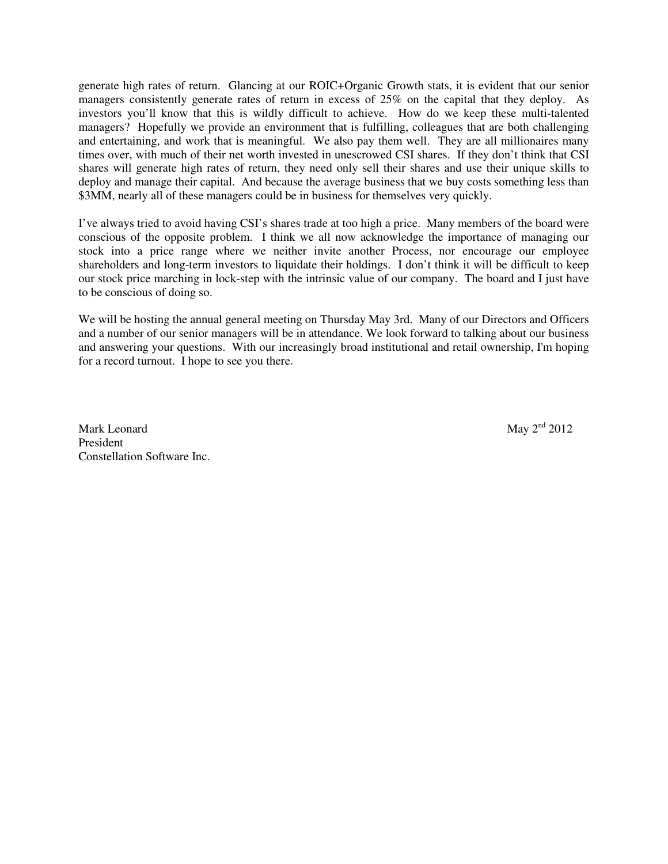generate high rates of return. Glancing at our ROIC+Organic Growth stats, it is evident that our senior managers consistently generate rates of return in excess of 25% on the capital that they deploy. As investors you'll know that this is wildly difficult to achieve. How do we keep these multi-talented managers? Hopefully we provide an environment that is fulfilling, colleagues that are both challenging and entertaining, and work that is meaningful. We also pay them well. They are all millionaires many times over, with much of their net worth invested in unescrowed CSI shares. If they don't think that CSI shares will generate high rates of return, they need only sell their shares and use their unique skills to deploy and manage their capital. And because the average business that we buy costs something less than \$3MM, nearly all of these managers could be in business for themselves very quickly.

I've always tried to avoid having CSI's shares trade at too high a price. Many members of the board were conscious of the opposite problem. I think we all now acknowledge the importance of managing our stock into a price range where we neither invite another Process, nor encourage our employee shareholders and long-term investors to liquidate their holdings. I don't think it will be difficult to keep our stock price marching in lock-step with the intrinsic value of our company. The board and I just have to be conscious of doing so.

We will be hosting the annual general meeting on Thursday May 3rd. Many of our Directors and Officers and a number of our senior managers will be in attendance. We look forward to talking about our business and answering your questions. With our increasingly broad institutional and retail ownership, I'm hoping for a record turnout. I hope to see you there.

Mark Leonard May  $2^{nd}$  2012 President Constellation Software Inc.